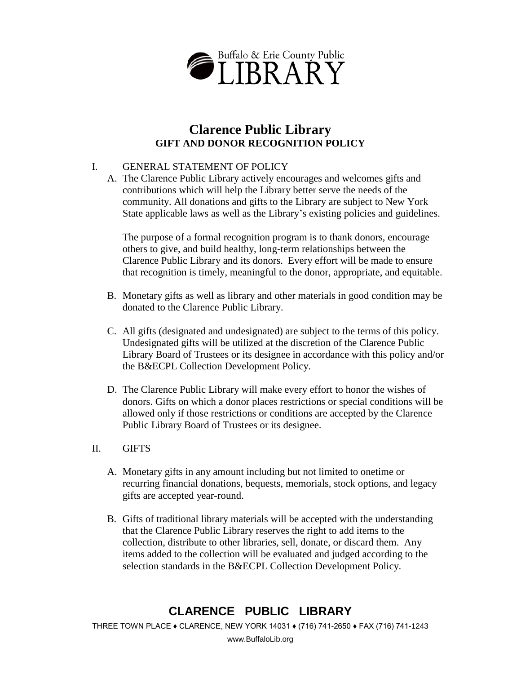

## **Clarence Public Library GIFT AND DONOR RECOGNITION POLICY**

### I. GENERAL STATEMENT OF POLICY

A. The Clarence Public Library actively encourages and welcomes gifts and contributions which will help the Library better serve the needs of the community. All donations and gifts to the Library are subject to New York State applicable laws as well as the Library's existing policies and guidelines.

The purpose of a formal recognition program is to thank donors, encourage others to give, and build healthy, long-term relationships between the Clarence Public Library and its donors. Every effort will be made to ensure that recognition is timely, meaningful to the donor, appropriate, and equitable.

- B. Monetary gifts as well as library and other materials in good condition may be donated to the Clarence Public Library.
- C. All gifts (designated and undesignated) are subject to the terms of this policy. Undesignated gifts will be utilized at the discretion of the Clarence Public Library Board of Trustees or its designee in accordance with this policy and/or the B&ECPL Collection Development Policy.
- D. The Clarence Public Library will make every effort to honor the wishes of donors. Gifts on which a donor places restrictions or special conditions will be allowed only if those restrictions or conditions are accepted by the Clarence Public Library Board of Trustees or its designee.

#### II. GIFTS

- A. Monetary gifts in any amount including but not limited to onetime or recurring financial donations, bequests, memorials, stock options, and legacy gifts are accepted year-round.
- B. Gifts of traditional library materials will be accepted with the understanding that the Clarence Public Library reserves the right to add items to the collection, distribute to other libraries, sell, donate, or discard them. Any items added to the collection will be evaluated and judged according to the selection standards in the B&ECPL Collection Development Policy.

# **CLARENCE PUBLIC LIBRARY**

THREE TOWN PLACE ♦ CLARENCE, NEW YORK 14031 ♦ (716) 741-2650 ♦ FAX (716) 741-1243